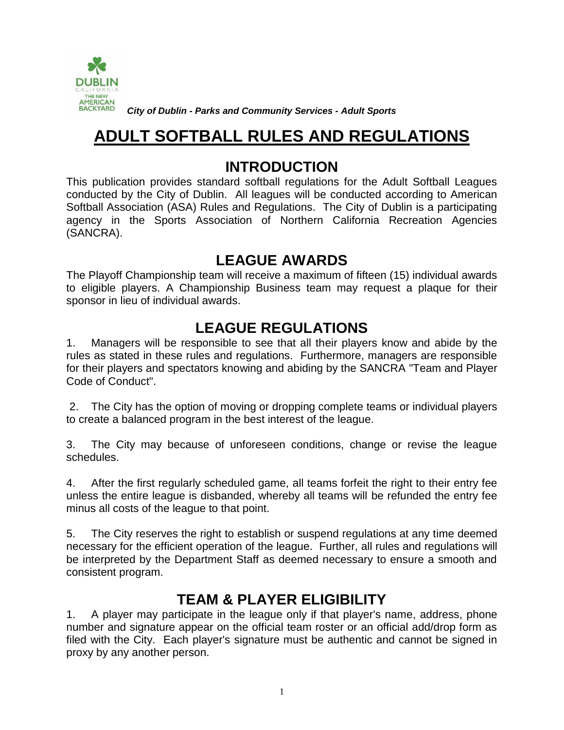

*City of Dublin - Parks and Community Services - Adult Sports*

# **ADULT SOFTBALL RULES AND REGULATIONS**

### **INTRODUCTION**

This publication provides standard softball regulations for the Adult Softball Leagues conducted by the City of Dublin. All leagues will be conducted according to American Softball Association (ASA) Rules and Regulations. The City of Dublin is a participating agency in the Sports Association of Northern California Recreation Agencies (SANCRA).

### **LEAGUE AWARDS**

The Playoff Championship team will receive a maximum of fifteen (15) individual awards to eligible players. A Championship Business team may request a plaque for their sponsor in lieu of individual awards.

## **LEAGUE REGULATIONS**

1. Managers will be responsible to see that all their players know and abide by the rules as stated in these rules and regulations. Furthermore, managers are responsible for their players and spectators knowing and abiding by the SANCRA "Team and Player Code of Conduct".

2. The City has the option of moving or dropping complete teams or individual players to create a balanced program in the best interest of the league.

3. The City may because of unforeseen conditions, change or revise the league schedules.

4. After the first regularly scheduled game, all teams forfeit the right to their entry fee unless the entire league is disbanded, whereby all teams will be refunded the entry fee minus all costs of the league to that point.

5. The City reserves the right to establish or suspend regulations at any time deemed necessary for the efficient operation of the league. Further, all rules and regulations will be interpreted by the Department Staff as deemed necessary to ensure a smooth and consistent program.

## **TEAM & PLAYER ELIGIBILITY**

1. A player may participate in the league only if that player's name, address, phone number and signature appear on the official team roster or an official add/drop form as filed with the City. Each player's signature must be authentic and cannot be signed in proxy by any another person.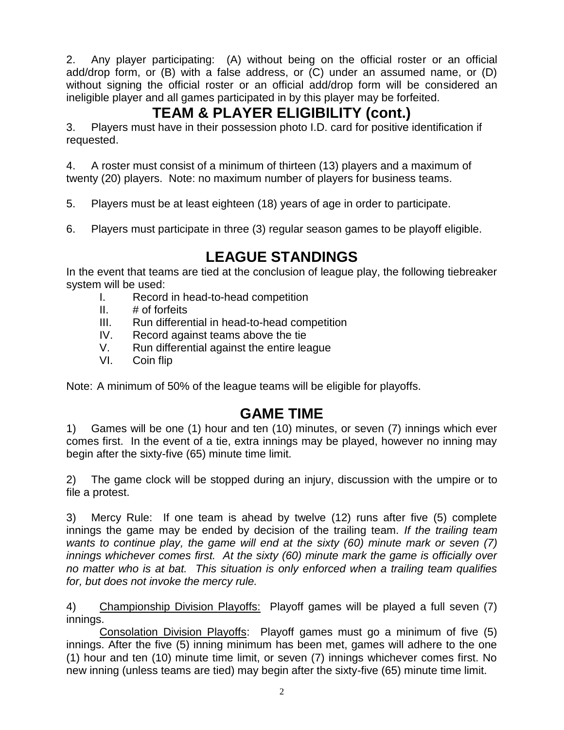2. Any player participating: (A) without being on the official roster or an official add/drop form, or (B) with a false address, or (C) under an assumed name, or (D) without signing the official roster or an official add/drop form will be considered an ineligible player and all games participated in by this player may be forfeited.

# **TEAM & PLAYER ELIGIBILITY (cont.)**

3. Players must have in their possession photo I.D. card for positive identification if requested.

4. A roster must consist of a minimum of thirteen (13) players and a maximum of twenty (20) players. Note: no maximum number of players for business teams.

5. Players must be at least eighteen (18) years of age in order to participate.

6. Players must participate in three (3) regular season games to be playoff eligible.

# **LEAGUE STANDINGS**

In the event that teams are tied at the conclusion of league play, the following tiebreaker system will be used:

- I. Record in head-to-head competition
- II.  $#$  of forfeits
- III. Run differential in head-to-head competition
- IV. Record against teams above the tie
- V. Run differential against the entire league
- VI. Coin flip

Note: A minimum of 50% of the league teams will be eligible for playoffs.

# **GAME TIME**

1) Games will be one (1) hour and ten (10) minutes, or seven (7) innings which ever comes first. In the event of a tie, extra innings may be played, however no inning may begin after the sixty-five (65) minute time limit.

2) The game clock will be stopped during an injury, discussion with the umpire or to file a protest.

3) Mercy Rule: If one team is ahead by twelve (12) runs after five (5) complete innings the game may be ended by decision of the trailing team. *If the trailing team wants to continue play, the game will end at the sixty (60) minute mark or seven (7) innings whichever comes first. At the sixty (60) minute mark the game is officially over no matter who is at bat. This situation is only enforced when a trailing team qualifies for, but does not invoke the mercy rule.*

4) Championship Division Playoffs: Playoff games will be played a full seven (7) innings.

Consolation Division Playoffs: Playoff games must go a minimum of five (5) innings. After the five (5) inning minimum has been met, games will adhere to the one (1) hour and ten (10) minute time limit, or seven (7) innings whichever comes first. No new inning (unless teams are tied) may begin after the sixty-five (65) minute time limit.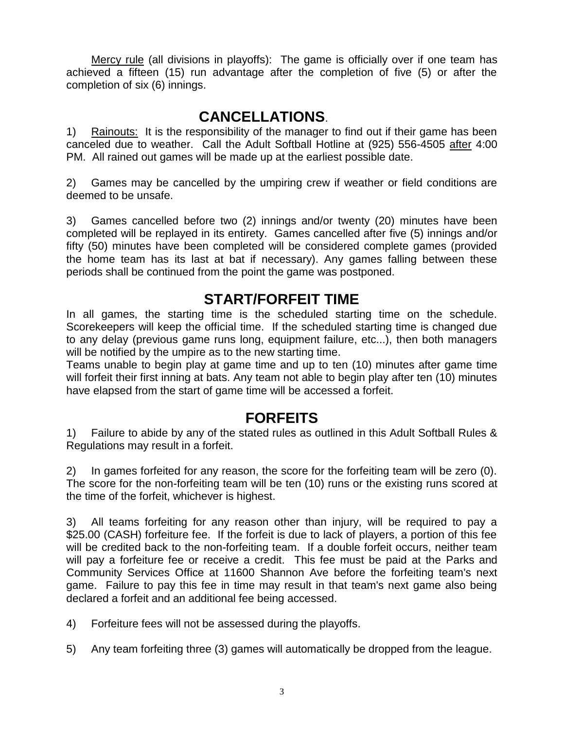Mercy rule (all divisions in playoffs): The game is officially over if one team has achieved a fifteen (15) run advantage after the completion of five (5) or after the completion of six (6) innings.

### **CANCELLATIONS**.

1) Rainouts: It is the responsibility of the manager to find out if their game has been canceled due to weather. Call the Adult Softball Hotline at (925) 556-4505 after 4:00 PM. All rained out games will be made up at the earliest possible date.

2) Games may be cancelled by the umpiring crew if weather or field conditions are deemed to be unsafe.

3) Games cancelled before two (2) innings and/or twenty (20) minutes have been completed will be replayed in its entirety. Games cancelled after five (5) innings and/or fifty (50) minutes have been completed will be considered complete games (provided the home team has its last at bat if necessary). Any games falling between these periods shall be continued from the point the game was postponed.

## **START/FORFEIT TIME**

In all games, the starting time is the scheduled starting time on the schedule. Scorekeepers will keep the official time. If the scheduled starting time is changed due to any delay (previous game runs long, equipment failure, etc...), then both managers will be notified by the umpire as to the new starting time.

Teams unable to begin play at game time and up to ten (10) minutes after game time will forfeit their first inning at bats. Any team not able to begin play after ten (10) minutes have elapsed from the start of game time will be accessed a forfeit.

### **FORFEITS**

1) Failure to abide by any of the stated rules as outlined in this Adult Softball Rules & Regulations may result in a forfeit.

2) In games forfeited for any reason, the score for the forfeiting team will be zero (0). The score for the non-forfeiting team will be ten (10) runs or the existing runs scored at the time of the forfeit, whichever is highest.

3) All teams forfeiting for any reason other than injury, will be required to pay a \$25.00 (CASH) forfeiture fee. If the forfeit is due to lack of players, a portion of this fee will be credited back to the non-forfeiting team. If a double forfeit occurs, neither team will pay a forfeiture fee or receive a credit. This fee must be paid at the Parks and Community Services Office at 11600 Shannon Ave before the forfeiting team's next game. Failure to pay this fee in time may result in that team's next game also being declared a forfeit and an additional fee being accessed.

- 4) Forfeiture fees will not be assessed during the playoffs.
- 5) Any team forfeiting three (3) games will automatically be dropped from the league.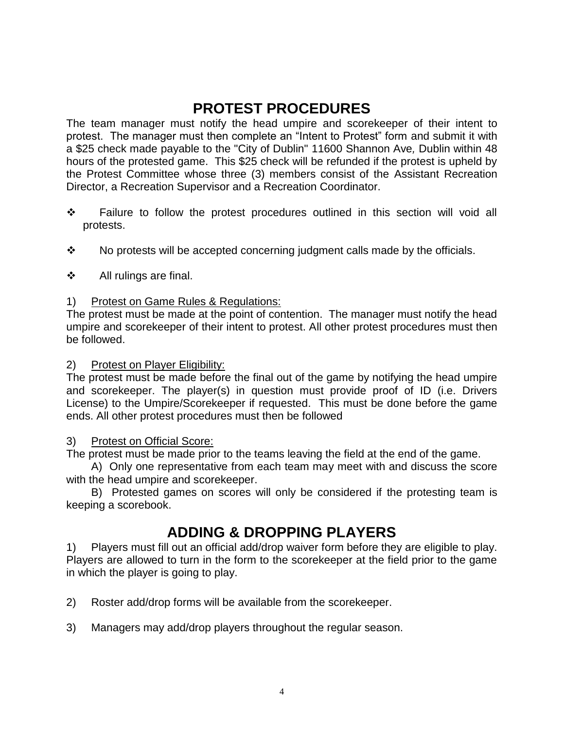# **PROTEST PROCEDURES**

The team manager must notify the head umpire and scorekeeper of their intent to protest. The manager must then complete an "Intent to Protest" form and submit it with a \$25 check made payable to the "City of Dublin" 11600 Shannon Ave*,* Dublin within 48 hours of the protested game. This \$25 check will be refunded if the protest is upheld by the Protest Committee whose three (3) members consist of the Assistant Recreation Director, a Recreation Supervisor and a Recreation Coordinator.

- ❖ Failure to follow the protest procedures outlined in this section will void all protests.
- ❖ No protests will be accepted concerning judgment calls made by the officials.
- ❖ All rulings are final.

#### 1) Protest on Game Rules & Regulations:

The protest must be made at the point of contention. The manager must notify the head umpire and scorekeeper of their intent to protest. All other protest procedures must then be followed.

#### 2) Protest on Player Eligibility:

The protest must be made before the final out of the game by notifying the head umpire and scorekeeper. The player(s) in question must provide proof of ID (i.e. Drivers License) to the Umpire/Scorekeeper if requested. This must be done before the game ends. All other protest procedures must then be followed

#### 3) Protest on Official Score:

The protest must be made prior to the teams leaving the field at the end of the game.

A) Only one representative from each team may meet with and discuss the score with the head umpire and scorekeeper.

B) Protested games on scores will only be considered if the protesting team is keeping a scorebook.

### **ADDING & DROPPING PLAYERS**

1) Players must fill out an official add/drop waiver form before they are eligible to play. Players are allowed to turn in the form to the scorekeeper at the field prior to the game in which the player is going to play.

2) Roster add/drop forms will be available from the scorekeeper.

3) Managers may add/drop players throughout the regular season.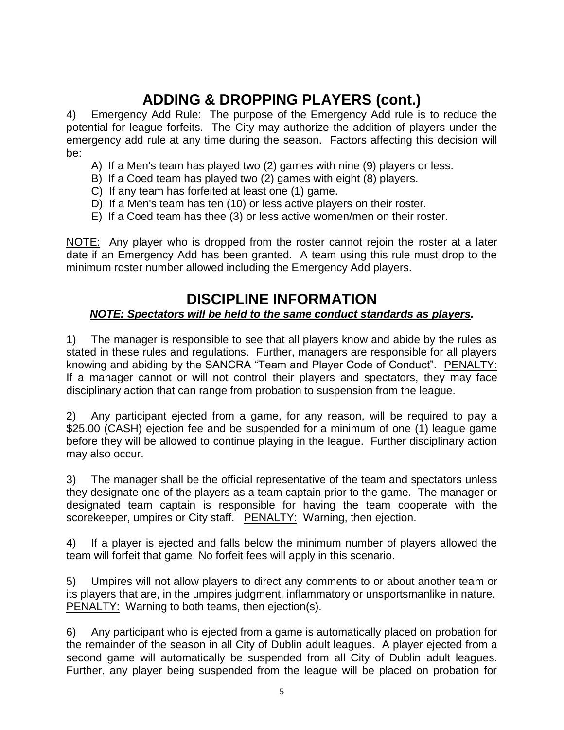# **ADDING & DROPPING PLAYERS (cont.)**

4) Emergency Add Rule: The purpose of the Emergency Add rule is to reduce the potential for league forfeits. The City may authorize the addition of players under the emergency add rule at any time during the season. Factors affecting this decision will be:

- A) If a Men's team has played two (2) games with nine (9) players or less.
- B) If a Coed team has played two (2) games with eight (8) players.
- C) If any team has forfeited at least one (1) game.
- D) If a Men's team has ten (10) or less active players on their roster.
- E) If a Coed team has thee (3) or less active women/men on their roster.

NOTE: Any player who is dropped from the roster cannot rejoin the roster at a later date if an Emergency Add has been granted. A team using this rule must drop to the minimum roster number allowed including the Emergency Add players.

### **DISCIPLINE INFORMATION**

#### *NOTE: Spectators will be held to the same conduct standards as players.*

1) The manager is responsible to see that all players know and abide by the rules as stated in these rules and regulations. Further, managers are responsible for all players knowing and abiding by the SANCRA "Team and Player Code of Conduct". PENALTY: If a manager cannot or will not control their players and spectators, they may face disciplinary action that can range from probation to suspension from the league.

2) Any participant ejected from a game, for any reason, will be required to pay a \$25.00 (CASH) ejection fee and be suspended for a minimum of one (1) league game before they will be allowed to continue playing in the league. Further disciplinary action may also occur.

3) The manager shall be the official representative of the team and spectators unless they designate one of the players as a team captain prior to the game. The manager or designated team captain is responsible for having the team cooperate with the scorekeeper, umpires or City staff. PENALTY: Warning, then ejection.

4) If a player is ejected and falls below the minimum number of players allowed the team will forfeit that game. No forfeit fees will apply in this scenario.

5) Umpires will not allow players to direct any comments to or about another team or its players that are, in the umpires judgment, inflammatory or unsportsmanlike in nature. PENALTY: Warning to both teams, then ejection(s).

6) Any participant who is ejected from a game is automatically placed on probation for the remainder of the season in all City of Dublin adult leagues. A player ejected from a second game will automatically be suspended from all City of Dublin adult leagues. Further, any player being suspended from the league will be placed on probation for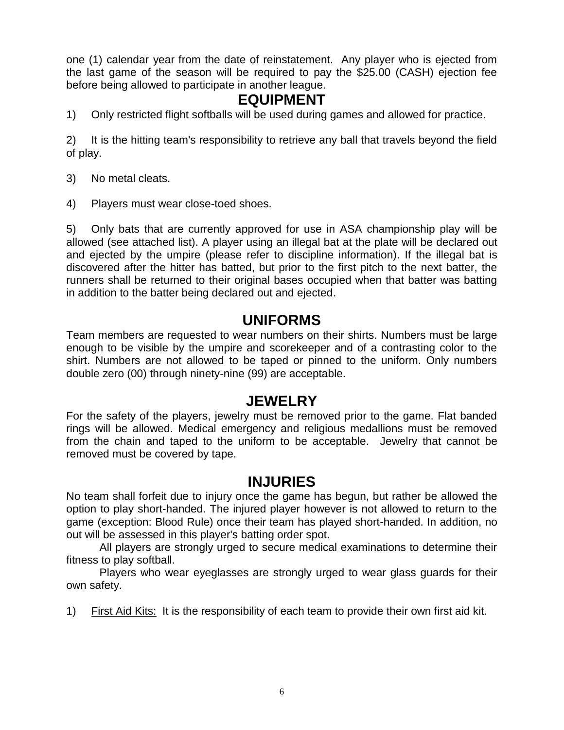one (1) calendar year from the date of reinstatement. Any player who is ejected from the last game of the season will be required to pay the \$25.00 (CASH) ejection fee before being allowed to participate in another league.

#### **EQUIPMENT**

1) Only restricted flight softballs will be used during games and allowed for practice.

2) It is the hitting team's responsibility to retrieve any ball that travels beyond the field of play.

- 3) No metal cleats.
- 4) Players must wear close-toed shoes.

5) Only bats that are currently approved for use in ASA championship play will be allowed (see attached list). A player using an illegal bat at the plate will be declared out and ejected by the umpire (please refer to discipline information). If the illegal bat is discovered after the hitter has batted, but prior to the first pitch to the next batter, the runners shall be returned to their original bases occupied when that batter was batting in addition to the batter being declared out and ejected.

#### **UNIFORMS**

Team members are requested to wear numbers on their shirts. Numbers must be large enough to be visible by the umpire and scorekeeper and of a contrasting color to the shirt. Numbers are not allowed to be taped or pinned to the uniform. Only numbers double zero (00) through ninety-nine (99) are acceptable.

#### **JEWELRY**

For the safety of the players, jewelry must be removed prior to the game. Flat banded rings will be allowed. Medical emergency and religious medallions must be removed from the chain and taped to the uniform to be acceptable. Jewelry that cannot be removed must be covered by tape.

### **INJURIES**

No team shall forfeit due to injury once the game has begun, but rather be allowed the option to play short-handed. The injured player however is not allowed to return to the game (exception: Blood Rule) once their team has played short-handed. In addition, no out will be assessed in this player's batting order spot.

All players are strongly urged to secure medical examinations to determine their fitness to play softball.

Players who wear eyeglasses are strongly urged to wear glass guards for their own safety.

1) First Aid Kits: It is the responsibility of each team to provide their own first aid kit.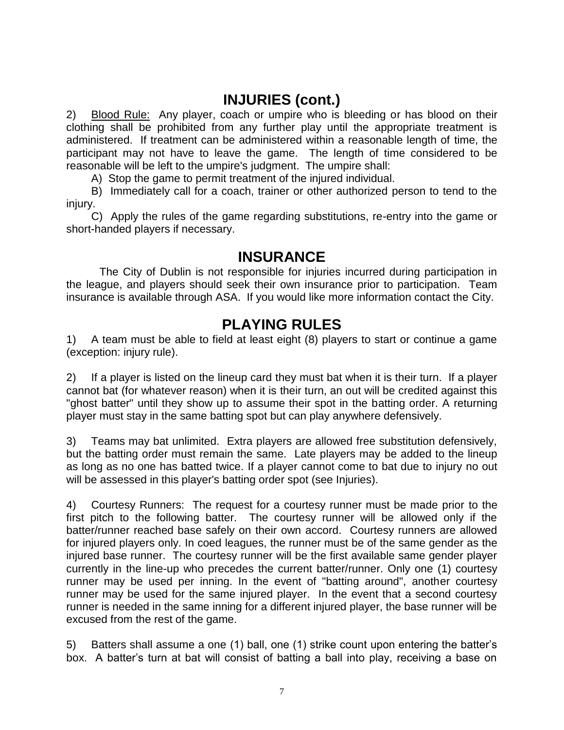## **INJURIES (cont.)**

2) Blood Rule: Any player, coach or umpire who is bleeding or has blood on their clothing shall be prohibited from any further play until the appropriate treatment is administered. If treatment can be administered within a reasonable length of time, the participant may not have to leave the game. The length of time considered to be reasonable will be left to the umpire's judgment. The umpire shall:

A) Stop the game to permit treatment of the injured individual.

B) Immediately call for a coach, trainer or other authorized person to tend to the injury.

C) Apply the rules of the game regarding substitutions, re-entry into the game or short-handed players if necessary.

#### **INSURANCE**

The City of Dublin is not responsible for injuries incurred during participation in the league, and players should seek their own insurance prior to participation. Team insurance is available through ASA. If you would like more information contact the City.

#### **PLAYING RULES**

1) A team must be able to field at least eight (8) players to start or continue a game (exception: injury rule).

2) If a player is listed on the lineup card they must bat when it is their turn. If a player cannot bat (for whatever reason) when it is their turn, an out will be credited against this "ghost batter" until they show up to assume their spot in the batting order. A returning player must stay in the same batting spot but can play anywhere defensively.

3) Teams may bat unlimited. Extra players are allowed free substitution defensively, but the batting order must remain the same. Late players may be added to the lineup as long as no one has batted twice. If a player cannot come to bat due to injury no out will be assessed in this player's batting order spot (see Injuries).

4) Courtesy Runners: The request for a courtesy runner must be made prior to the first pitch to the following batter. The courtesy runner will be allowed only if the batter/runner reached base safely on their own accord. Courtesy runners are allowed for injured players only. In coed leagues, the runner must be of the same gender as the injured base runner. The courtesy runner will be the first available same gender player currently in the line-up who precedes the current batter/runner. Only one (1) courtesy runner may be used per inning. In the event of "batting around", another courtesy runner may be used for the same injured player. In the event that a second courtesy runner is needed in the same inning for a different injured player, the base runner will be excused from the rest of the game.

5) Batters shall assume a one (1) ball, one (1) strike count upon entering the batter's box. A batter's turn at bat will consist of batting a ball into play, receiving a base on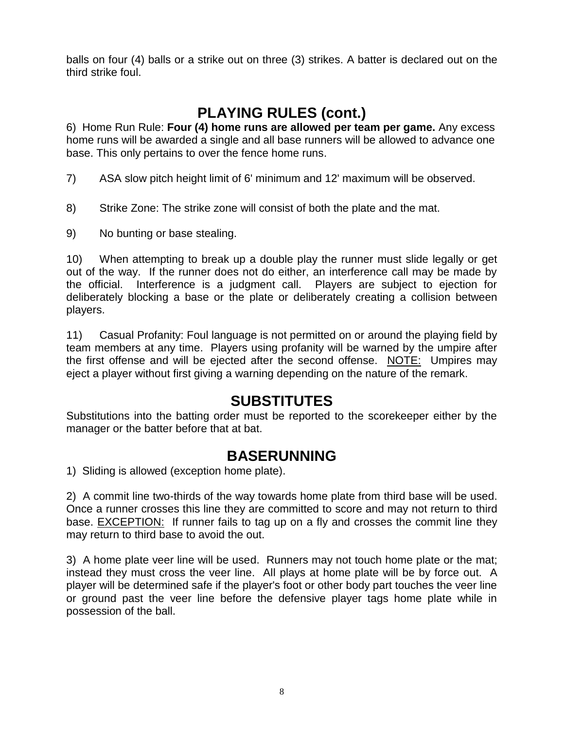balls on four (4) balls or a strike out on three (3) strikes. A batter is declared out on the third strike foul.

# **PLAYING RULES (cont.)**

6)Home Run Rule: **Four (4) home runs are allowed per team per game.** Any excess home runs will be awarded a single and all base runners will be allowed to advance one base. This only pertains to over the fence home runs.

- 7) ASA slow pitch height limit of 6' minimum and 12' maximum will be observed.
- 8) Strike Zone: The strike zone will consist of both the plate and the mat.
- 9) No bunting or base stealing.

10) When attempting to break up a double play the runner must slide legally or get out of the way. If the runner does not do either, an interference call may be made by the official. Interference is a judgment call. Players are subject to ejection for deliberately blocking a base or the plate or deliberately creating a collision between players.

11) Casual Profanity: Foul language is not permitted on or around the playing field by team members at any time. Players using profanity will be warned by the umpire after the first offense and will be ejected after the second offense. NOTE: Umpires may eject a player without first giving a warning depending on the nature of the remark.

### **SUBSTITUTES**

Substitutions into the batting order must be reported to the scorekeeper either by the manager or the batter before that at bat.

#### **BASERUNNING**

1) Sliding is allowed (exception home plate).

2) A commit line two-thirds of the way towards home plate from third base will be used. Once a runner crosses this line they are committed to score and may not return to third base. EXCEPTION: If runner fails to tag up on a fly and crosses the commit line they may return to third base to avoid the out.

3) A home plate veer line will be used. Runners may not touch home plate or the mat; instead they must cross the veer line. All plays at home plate will be by force out. A player will be determined safe if the player's foot or other body part touches the veer line or ground past the veer line before the defensive player tags home plate while in possession of the ball.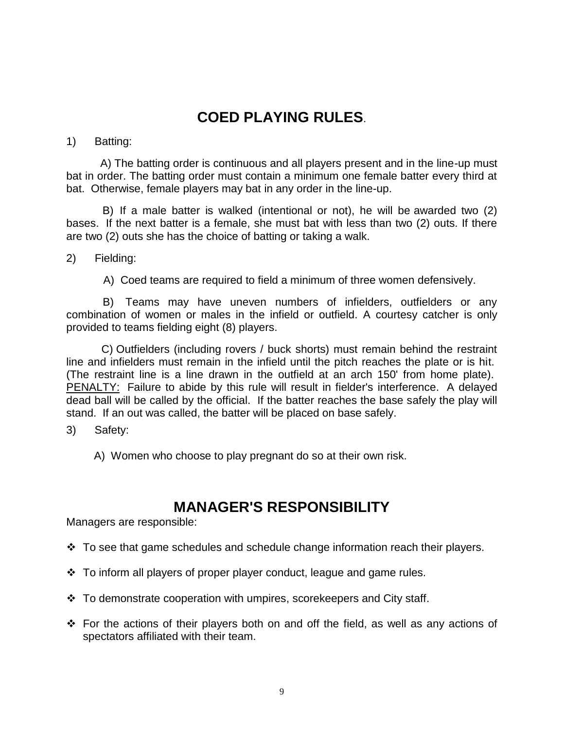# **COED PLAYING RULES**.

#### 1) Batting:

 A) The batting order is continuous and all players present and in the line-up must bat in order. The batting order must contain a minimum one female batter every third at bat. Otherwise, female players may bat in any order in the line-up.

B) If a male batter is walked (intentional or not), he will be awarded two (2) bases. If the next batter is a female, she must bat with less than two (2) outs. If there are two (2) outs she has the choice of batting or taking a walk.

2) Fielding:

A) Coed teams are required to field a minimum of three women defensively.

 B) Teams may have uneven numbers of infielders, outfielders or any combination of women or males in the infield or outfield. A courtesy catcher is only provided to teams fielding eight (8) players.

 C) Outfielders (including rovers / buck shorts) must remain behind the restraint line and infielders must remain in the infield until the pitch reaches the plate or is hit. (The restraint line is a line drawn in the outfield at an arch 150' from home plate). PENALTY: Failure to abide by this rule will result in fielder's interference. A delayed dead ball will be called by the official. If the batter reaches the base safely the play will stand. If an out was called, the batter will be placed on base safely.

- 3) Safety:
	- A) Women who choose to play pregnant do so at their own risk.

## **MANAGER'S RESPONSIBILITY**

Managers are responsible:

- ❖ To see that game schedules and schedule change information reach their players.
- ❖ To inform all players of proper player conduct, league and game rules.
- ❖ To demonstrate cooperation with umpires, scorekeepers and City staff.
- ❖ For the actions of their players both on and off the field, as well as any actions of spectators affiliated with their team.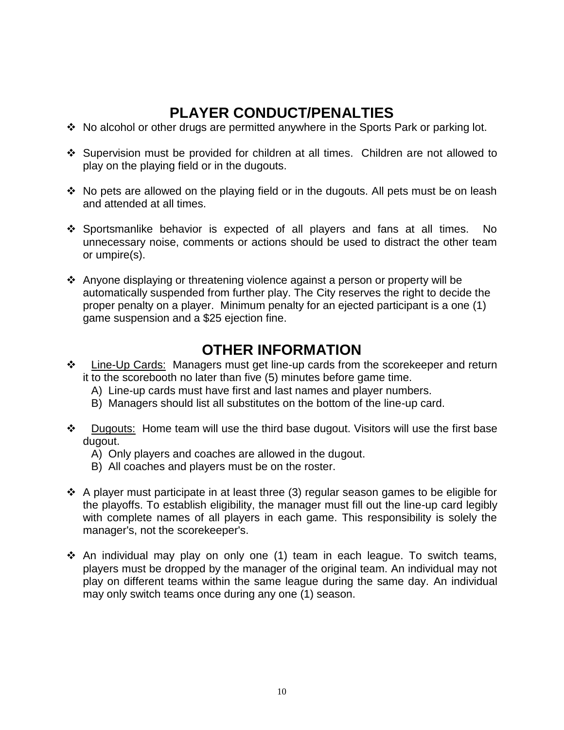# **PLAYER CONDUCT/PENALTIES**

- ❖ No alcohol or other drugs are permitted anywhere in the Sports Park or parking lot.
- ❖ Supervision must be provided for children at all times. Children are not allowed to play on the playing field or in the dugouts.
- ❖ No pets are allowed on the playing field or in the dugouts. All pets must be on leash and attended at all times.
- ❖ Sportsmanlike behavior is expected of all players and fans at all times. No unnecessary noise, comments or actions should be used to distract the other team or umpire(s).
- ❖ Anyone displaying or threatening violence against a person or property will be automatically suspended from further play. The City reserves the right to decide the proper penalty on a player. Minimum penalty for an ejected participant is a one (1) game suspension and a \$25 ejection fine.

### **OTHER INFORMATION**

- ❖ Line-Up Cards: Managers must get line-up cards from the scorekeeper and return it to the scorebooth no later than five (5) minutes before game time.
	- A) Line-up cards must have first and last names and player numbers.
	- B) Managers should list all substitutes on the bottom of the line-up card.
- ❖ Dugouts: Home team will use the third base dugout. Visitors will use the first base dugout.
	- A) Only players and coaches are allowed in the dugout.
	- B) All coaches and players must be on the roster.
- ❖ A player must participate in at least three (3) regular season games to be eligible for the playoffs. To establish eligibility, the manager must fill out the line-up card legibly with complete names of all players in each game. This responsibility is solely the manager's, not the scorekeeper's.
- ❖ An individual may play on only one (1) team in each league. To switch teams, players must be dropped by the manager of the original team. An individual may not play on different teams within the same league during the same day. An individual may only switch teams once during any one (1) season.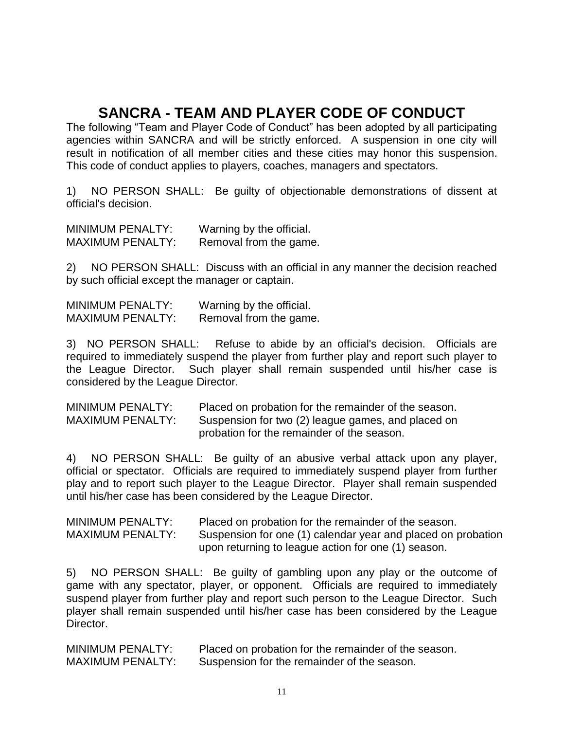# **SANCRA - TEAM AND PLAYER CODE OF CONDUCT**

The following "Team and Player Code of Conduct" has been adopted by all participating agencies within SANCRA and will be strictly enforced. A suspension in one city will result in notification of all member cities and these cities may honor this suspension. This code of conduct applies to players, coaches, managers and spectators.

1) NO PERSON SHALL: Be guilty of objectionable demonstrations of dissent at official's decision.

MINIMUM PENALTY: Warning by the official. MAXIMUM PENALTY: Removal from the game.

2) NO PERSON SHALL: Discuss with an official in any manner the decision reached by such official except the manager or captain.

MINIMUM PENALTY: Warning by the official. MAXIMUM PENALTY: Removal from the game.

3) NO PERSON SHALL: Refuse to abide by an official's decision. Officials are required to immediately suspend the player from further play and report such player to the League Director. Such player shall remain suspended until his/her case is considered by the League Director.

| <b>MINIMUM PENALTY:</b> | Placed on probation for the remainder of the season. |
|-------------------------|------------------------------------------------------|
| <b>MAXIMUM PENALTY:</b> | Suspension for two (2) league games, and placed on   |
|                         | probation for the remainder of the season.           |

4) NO PERSON SHALL: Be guilty of an abusive verbal attack upon any player, official or spectator. Officials are required to immediately suspend player from further play and to report such player to the League Director. Player shall remain suspended until his/her case has been considered by the League Director.

MINIMUM PENALTY: Placed on probation for the remainder of the season. MAXIMUM PENALTY: Suspension for one (1) calendar year and placed on probation upon returning to league action for one (1) season.

5) NO PERSON SHALL: Be guilty of gambling upon any play or the outcome of game with any spectator, player, or opponent. Officials are required to immediately suspend player from further play and report such person to the League Director. Such player shall remain suspended until his/her case has been considered by the League Director.

| <b>MINIMUM PENALTY:</b> | Placed on probation for the remainder of the season. |
|-------------------------|------------------------------------------------------|
| <b>MAXIMUM PENALTY:</b> | Suspension for the remainder of the season.          |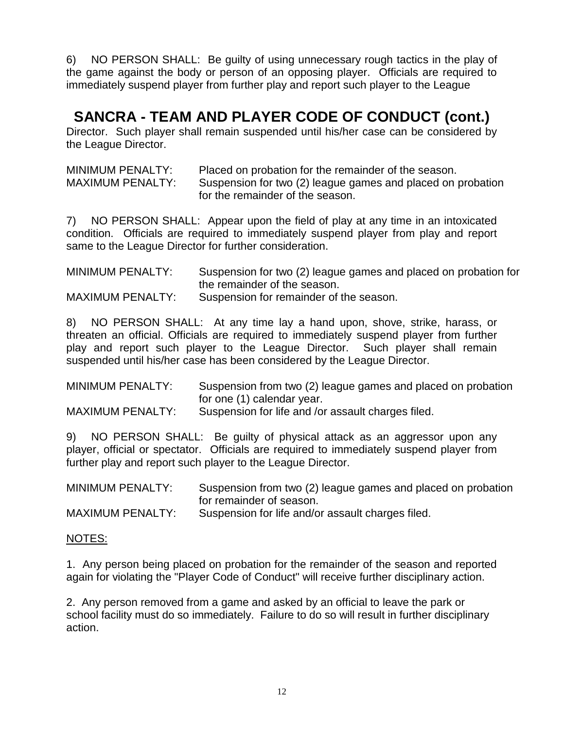6) NO PERSON SHALL: Be guilty of using unnecessary rough tactics in the play of the game against the body or person of an opposing player. Officials are required to immediately suspend player from further play and report such player to the League

## **SANCRA - TEAM AND PLAYER CODE OF CONDUCT (cont.)**

Director. Such player shall remain suspended until his/her case can be considered by the League Director.

| MINIMUM PENALTY:                 | Placed on probation for the remainder of the season.        |
|----------------------------------|-------------------------------------------------------------|
| <b>MAXIMUM PENALTY:</b>          | Suspension for two (2) league games and placed on probation |
| for the remainder of the season. |                                                             |

7) NO PERSON SHALL: Appear upon the field of play at any time in an intoxicated condition. Officials are required to immediately suspend player from play and report same to the League Director for further consideration.

| MINIMUM PENALTY:        | Suspension for two (2) league games and placed on probation for |
|-------------------------|-----------------------------------------------------------------|
|                         | the remainder of the season.                                    |
| <b>MAXIMUM PENALTY:</b> | Suspension for remainder of the season.                         |

8) NO PERSON SHALL: At any time lay a hand upon, shove, strike, harass, or threaten an official. Officials are required to immediately suspend player from further play and report such player to the League Director. Such player shall remain suspended until his/her case has been considered by the League Director.

| MINIMUM PENALTY:        | Suspension from two (2) league games and placed on probation |
|-------------------------|--------------------------------------------------------------|
|                         | for one (1) calendar year.                                   |
| <b>MAXIMUM PENALTY:</b> | Suspension for life and /or assault charges filed.           |

9) NO PERSON SHALL: Be guilty of physical attack as an aggressor upon any player, official or spectator. Officials are required to immediately suspend player from further play and report such player to the League Director.

| <b>MINIMUM PENALTY:</b> | Suspension from two (2) league games and placed on probation |
|-------------------------|--------------------------------------------------------------|
|                         | for remainder of season.                                     |
| <b>MAXIMUM PENALTY:</b> | Suspension for life and/or assault charges filed.            |

#### NOTES:

1. Any person being placed on probation for the remainder of the season and reported again for violating the "Player Code of Conduct" will receive further disciplinary action.

2. Any person removed from a game and asked by an official to leave the park or school facility must do so immediately. Failure to do so will result in further disciplinary action.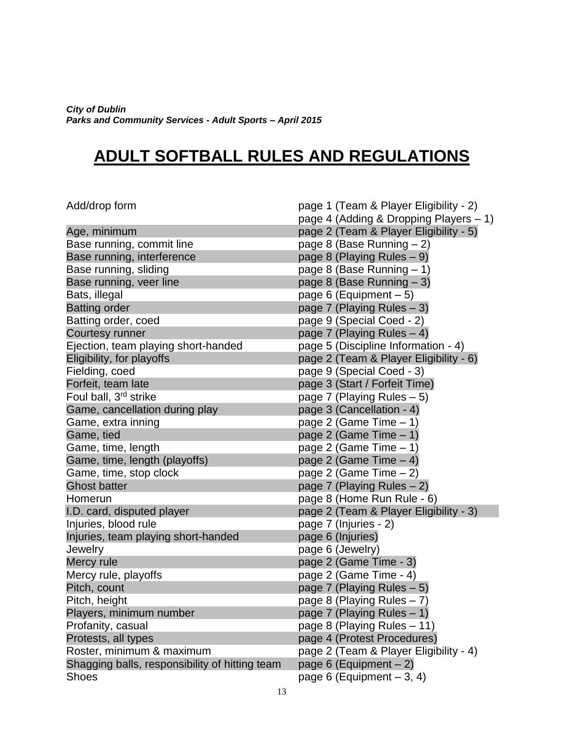*City of Dublin Parks and Community Services - Adult Sports – April 2015*

# **ADULT SOFTBALL RULES AND REGULATIONS**

| Add/drop form                                  | page 1 (Team & Player Eligibility - 2) |
|------------------------------------------------|----------------------------------------|
|                                                | page 4 (Adding & Dropping Players - 1) |
| Age, minimum                                   | page 2 (Team & Player Eligibility - 5) |
| Base running, commit line                      | page 8 (Base Running - 2)              |
| Base running, interference                     | page 8 (Playing Rules - 9)             |
| Base running, sliding                          | page 8 (Base Running - 1)              |
| Base running, veer line                        | page 8 (Base Running $-3$ )            |
| Bats, illegal                                  | page 6 (Equipment $-5$ )               |
| <b>Batting order</b>                           | page 7 (Playing Rules – 3)             |
| Batting order, coed                            | page 9 (Special Coed - 2)              |
| <b>Courtesy runner</b>                         | page 7 (Playing Rules $-4$ )           |
| Ejection, team playing short-handed            | page 5 (Discipline Information - 4)    |
| Eligibility, for playoffs                      | page 2 (Team & Player Eligibility - 6) |
| Fielding, coed                                 | page 9 (Special Coed - 3)              |
| Forfeit, team late                             | page 3 (Start / Forfeit Time)          |
| Foul ball, 3 <sup>rd</sup> strike              | page 7 (Playing Rules $-5$ )           |
| Game, cancellation during play                 | page 3 (Cancellation - 4)              |
| Game, extra inning                             | page 2 (Game Time $-1$ )               |
| Game, tied                                     | page 2 (Game Time - 1)                 |
| Game, time, length                             | page 2 (Game Time $-1$ )               |
| Game, time, length (playoffs)                  | page 2 (Game Time $-4$ )               |
| Game, time, stop clock                         | page 2 (Game Time $-2$ )               |
| <b>Ghost batter</b>                            | page 7 (Playing Rules $-2$ )           |
| Homerun                                        | page 8 (Home Run Rule - 6)             |
| I.D. card, disputed player                     | page 2 (Team & Player Eligibility - 3) |
| Injuries, blood rule                           | page 7 (Injuries - 2)                  |
| Injuries, team playing short-handed            | page 6 (Injuries)                      |
| Jewelry                                        | page 6 (Jewelry)                       |
| Mercy rule                                     | page 2 (Game Time - 3)                 |
| Mercy rule, playoffs                           | page 2 (Game Time - 4)                 |
| Pitch, count                                   | page 7 (Playing Rules $-5$ )           |
| Pitch, height                                  | page 8 (Playing Rules $-7$ )           |
| Players, minimum number                        | page 7 (Playing Rules - 1)             |
| Profanity, casual                              | page 8 (Playing Rules – 11)            |
| Protests, all types                            | page 4 (Protest Procedures)            |
| Roster, minimum & maximum                      | page 2 (Team & Player Eligibility - 4) |
| Shagging balls, responsibility of hitting team | page 6 (Equipment $-2$ )               |
| <b>Shoes</b>                                   | page 6 (Equipment $-3, 4$ )            |